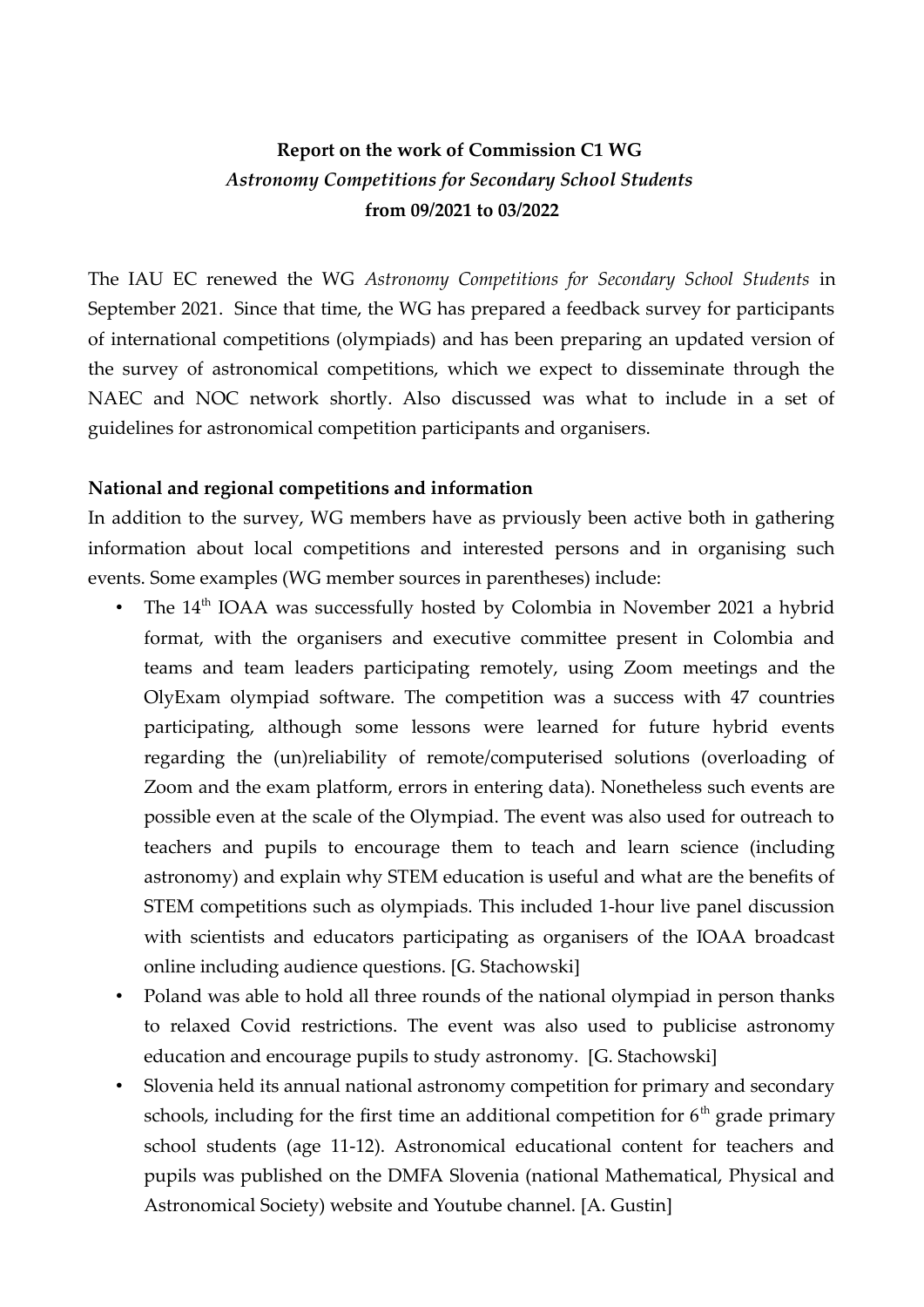# **Report on the work of Commission C1 WG**  *Astronomy Competitions for Secondary School Students* **from 09/2021 to 03/2022**

The IAU EC renewed the WG *Astronomy Competitions for Secondary School Students* in September 2021. Since that time, the WG has prepared a feedback survey for participants of international competitions (olympiads) and has been preparing an updated version of the survey of astronomical competitions, which we expect to disseminate through the NAEC and NOC network shortly. Also discussed was what to include in a set of guidelines for astronomical competition participants and organisers.

#### **National and regional competitions and information**

In addition to the survey, WG members have as prviously been active both in gathering information about local competitions and interested persons and in organising such events. Some examples (WG member sources in parentheses) include:

- The 14<sup>th</sup> IOAA was successfully hosted by Colombia in November 2021 a hybrid format, with the organisers and executive committee present in Colombia and teams and team leaders participating remotely, using Zoom meetings and the OlyExam olympiad software. The competition was a success with 47 countries participating, although some lessons were learned for future hybrid events regarding the (un)reliability of remote/computerised solutions (overloading of Zoom and the exam platform, errors in entering data). Nonetheless such events are possible even at the scale of the Olympiad. The event was also used for outreach to teachers and pupils to encourage them to teach and learn science (including astronomy) and explain why STEM education is useful and what are the benefits of STEM competitions such as olympiads. This included 1-hour live panel discussion with scientists and educators participating as organisers of the IOAA broadcast online including audience questions. [G. Stachowski]
- Poland was able to hold all three rounds of the national olympiad in person thanks to relaxed Covid restrictions. The event was also used to publicise astronomy education and encourage pupils to study astronomy. [G. Stachowski]
- Slovenia held its annual national astronomy competition for primary and secondary schools, including for the first time an additional competition for  $6<sup>th</sup>$  grade primary school students (age 11-12). Astronomical educational content for teachers and pupils was published on the DMFA Slovenia (national Mathematical, Physical and Astronomical Society) website and Youtube channel. [A. Gustin]